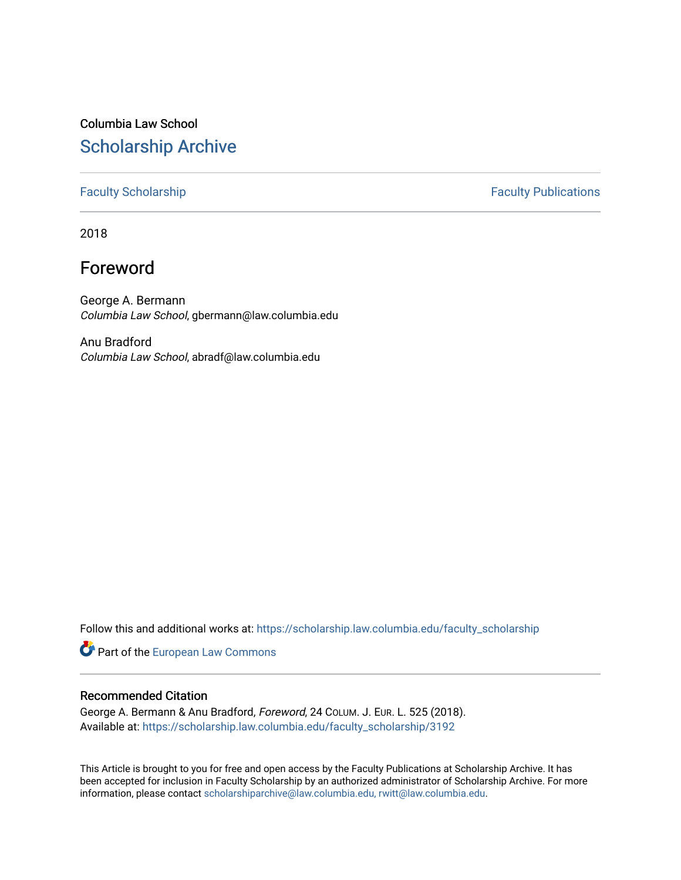# Columbia Law School [Scholarship Archive](https://scholarship.law.columbia.edu/)

[Faculty Scholarship](https://scholarship.law.columbia.edu/faculty_scholarship) **Faculty Publications** 

2018

## Foreword

George A. Bermann Columbia Law School, gbermann@law.columbia.edu

Anu Bradford Columbia Law School, abradf@law.columbia.edu

Follow this and additional works at: [https://scholarship.law.columbia.edu/faculty\\_scholarship](https://scholarship.law.columbia.edu/faculty_scholarship?utm_source=scholarship.law.columbia.edu%2Ffaculty_scholarship%2F3192&utm_medium=PDF&utm_campaign=PDFCoverPages)

Part of the [European Law Commons](http://network.bepress.com/hgg/discipline/1084?utm_source=scholarship.law.columbia.edu%2Ffaculty_scholarship%2F3192&utm_medium=PDF&utm_campaign=PDFCoverPages) 

#### Recommended Citation

George A. Bermann & Anu Bradford, Foreword, 24 COLUM. J. EUR. L. 525 (2018). Available at: [https://scholarship.law.columbia.edu/faculty\\_scholarship/3192](https://scholarship.law.columbia.edu/faculty_scholarship/3192?utm_source=scholarship.law.columbia.edu%2Ffaculty_scholarship%2F3192&utm_medium=PDF&utm_campaign=PDFCoverPages)

This Article is brought to you for free and open access by the Faculty Publications at Scholarship Archive. It has been accepted for inclusion in Faculty Scholarship by an authorized administrator of Scholarship Archive. For more information, please contact [scholarshiparchive@law.columbia.edu, rwitt@law.columbia.edu](mailto:scholarshiparchive@law.columbia.edu,%20rwitt@law.columbia.edu).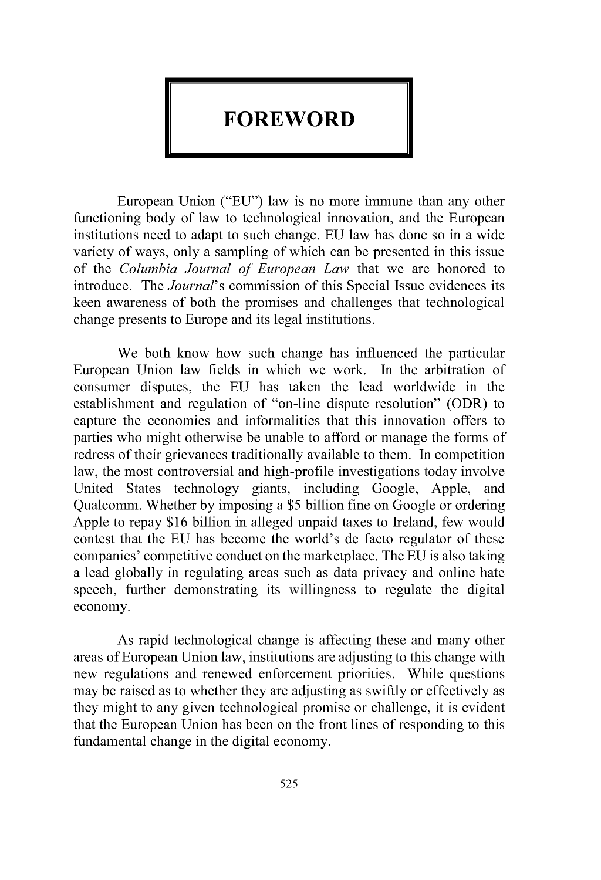### **FOREWORD**

European Union ("EU") law is no more immune than any other functioning body of law to technological innovation, and the European institutions need to adapt to such change. EU law has done so in a wide variety of ways, only a sampling of which can be presented in this issue of the *Columbia Journal of European Law* that we are honored to introduce. The *Journal's* commission of this Special Issue evidences its keen awareness of both the promises and challenges that technological change presents to Europe and its legal institutions.

We both know how such change has influenced the particular European Union law fields in which we work. In the arbitration of consumer disputes, the EU has taken the lead worldwide in the establishment and regulation of "on-line dispute resolution" (ODR) to capture the economies and informalities that this innovation offers to parties who might otherwise be unable to afford or manage the forms of redress of their grievances traditionally available to them. In competition law, the most controversial and high-profile investigations today involve United States technology giants, including Google, Apple, and Qualcomm. Whether by imposing a \$5 billion fine on Google or ordering Apple to repay \$16 billion in alleged unpaid taxes to Ireland, few would contest that the EU has become the world's de facto regulator of these companies' competitive conduct on the marketplace. The EU is also taking a lead globally in regulating areas such as data privacy and online hate speech, further demonstrating its willingness to regulate the digital economy.

As rapid technological change is affecting these and many other areas of European Union law, institutions are adjusting to this change with new regulations and renewed enforcement priorities. While questions may be raised as to whether they are adjusting as swiftly or effectively as they might to any given technological promise or challenge, it is evident that the European Union has been on the front lines of responding to this fundamental change in the digital economy.